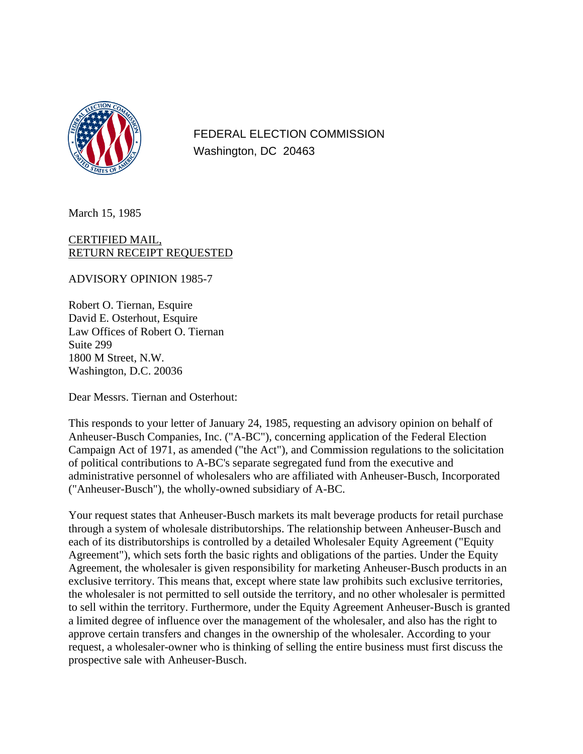

FEDERAL ELECTION COMMISSION Washington, DC 20463

March 15, 1985

## CERTIFIED MAIL, RETURN RECEIPT REQUESTED

ADVISORY OPINION 1985-7

Robert O. Tiernan, Esquire David E. Osterhout, Esquire Law Offices of Robert O. Tiernan Suite 299 1800 M Street, N.W. Washington, D.C. 20036

Dear Messrs. Tiernan and Osterhout:

This responds to your letter of January 24, 1985, requesting an advisory opinion on behalf of Anheuser-Busch Companies, Inc. ("A-BC"), concerning application of the Federal Election Campaign Act of 1971, as amended ("the Act"), and Commission regulations to the solicitation of political contributions to A-BC's separate segregated fund from the executive and administrative personnel of wholesalers who are affiliated with Anheuser-Busch, Incorporated ("Anheuser-Busch"), the wholly-owned subsidiary of A-BC.

Your request states that Anheuser-Busch markets its malt beverage products for retail purchase through a system of wholesale distributorships. The relationship between Anheuser-Busch and each of its distributorships is controlled by a detailed Wholesaler Equity Agreement ("Equity Agreement"), which sets forth the basic rights and obligations of the parties. Under the Equity Agreement, the wholesaler is given responsibility for marketing Anheuser-Busch products in an exclusive territory. This means that, except where state law prohibits such exclusive territories, the wholesaler is not permitted to sell outside the territory, and no other wholesaler is permitted to sell within the territory. Furthermore, under the Equity Agreement Anheuser-Busch is granted a limited degree of influence over the management of the wholesaler, and also has the right to approve certain transfers and changes in the ownership of the wholesaler. According to your request, a wholesaler-owner who is thinking of selling the entire business must first discuss the prospective sale with Anheuser-Busch.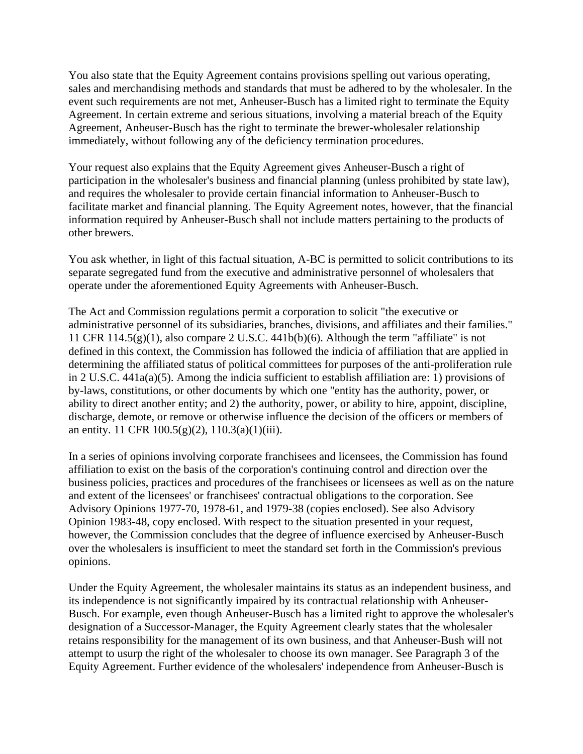You also state that the Equity Agreement contains provisions spelling out various operating, sales and merchandising methods and standards that must be adhered to by the wholesaler. In the event such requirements are not met, Anheuser-Busch has a limited right to terminate the Equity Agreement. In certain extreme and serious situations, involving a material breach of the Equity Agreement, Anheuser-Busch has the right to terminate the brewer-wholesaler relationship immediately, without following any of the deficiency termination procedures.

Your request also explains that the Equity Agreement gives Anheuser-Busch a right of participation in the wholesaler's business and financial planning (unless prohibited by state law), and requires the wholesaler to provide certain financial information to Anheuser-Busch to facilitate market and financial planning. The Equity Agreement notes, however, that the financial information required by Anheuser-Busch shall not include matters pertaining to the products of other brewers.

You ask whether, in light of this factual situation, A-BC is permitted to solicit contributions to its separate segregated fund from the executive and administrative personnel of wholesalers that operate under the aforementioned Equity Agreements with Anheuser-Busch.

The Act and Commission regulations permit a corporation to solicit "the executive or administrative personnel of its subsidiaries, branches, divisions, and affiliates and their families." 11 CFR 114.5(g)(1), also compare 2 U.S.C. 441b(b)(6). Although the term "affiliate" is not defined in this context, the Commission has followed the indicia of affiliation that are applied in determining the affiliated status of political committees for purposes of the anti-proliferation rule in 2 U.S.C. 441a(a)(5). Among the indicia sufficient to establish affiliation are: 1) provisions of by-laws, constitutions, or other documents by which one "entity has the authority, power, or ability to direct another entity; and 2) the authority, power, or ability to hire, appoint, discipline, discharge, demote, or remove or otherwise influence the decision of the officers or members of an entity. 11 CFR  $100.5(g)(2)$ ,  $110.3(a)(1)(iii)$ .

In a series of opinions involving corporate franchisees and licensees, the Commission has found affiliation to exist on the basis of the corporation's continuing control and direction over the business policies, practices and procedures of the franchisees or licensees as well as on the nature and extent of the licensees' or franchisees' contractual obligations to the corporation. See Advisory Opinions 1977-70, 1978-61, and 1979-38 (copies enclosed). See also Advisory Opinion 1983-48, copy enclosed. With respect to the situation presented in your request, however, the Commission concludes that the degree of influence exercised by Anheuser-Busch over the wholesalers is insufficient to meet the standard set forth in the Commission's previous opinions.

Under the Equity Agreement, the wholesaler maintains its status as an independent business, and its independence is not significantly impaired by its contractual relationship with Anheuser-Busch. For example, even though Anheuser-Busch has a limited right to approve the wholesaler's designation of a Successor-Manager, the Equity Agreement clearly states that the wholesaler retains responsibility for the management of its own business, and that Anheuser-Bush will not attempt to usurp the right of the wholesaler to choose its own manager. See Paragraph 3 of the Equity Agreement. Further evidence of the wholesalers' independence from Anheuser-Busch is